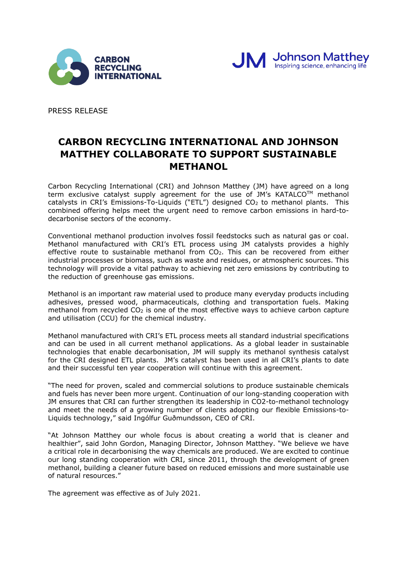



PRESS RELEASE

# **CARBON RECYCLING INTERNATIONAL AND JOHNSON MATTHEY COLLABORATE TO SUPPORT SUSTAINABLE METHANOL**

Carbon Recycling International (CRI) and Johnson Matthey (JM) have agreed on a long term exclusive catalyst supply agreement for the use of JM's KATALCO™ methanol catalysts in CRI's Emissions-To-Liquids ("ETL") designed CO<sub>2</sub> to methanol plants. This combined offering helps meet the urgent need to remove carbon emissions in hard-todecarbonise sectors of the economy.

Conventional methanol production involves fossil feedstocks such as natural gas or coal. Methanol manufactured with CRI's ETL process using JM catalysts provides a highly effective route to sustainable methanol from  $CO<sub>2</sub>$ . This can be recovered from either industrial processes or biomass, such as waste and residues, or atmospheric sources. This technology will provide a vital pathway to achieving net zero emissions by contributing to the reduction of greenhouse gas emissions.

Methanol is an important raw material used to produce many everyday products including adhesives, pressed wood, pharmaceuticals, clothing and transportation fuels. Making methanol from recycled  $CO<sub>2</sub>$  is one of the most effective ways to achieve carbon capture and utilisation (CCU) for the chemical industry.

Methanol manufactured with CRI's ETL process meets all standard industrial specifications and can be used in all current methanol applications. As a global leader in sustainable technologies that enable decarbonisation, JM will supply its methanol synthesis catalyst for the CRI designed ETL plants. JM's catalyst has been used in all CRI's plants to date and their successful ten year cooperation will continue with this agreement.

"The need for proven, scaled and commercial solutions to produce sustainable chemicals and fuels has never been more urgent. Continuation of our long-standing cooperation with JM ensures that CRI can further strengthen its leadership in CO2-to-methanol technology and meet the needs of a growing number of clients adopting our flexible Emissions-to-Liquids technology," said Ingólfur Guðmundsson, CEO of CRI.

"At Johnson Matthey our whole focus is about creating a world that is cleaner and healthier", said John Gordon, Managing Director, Johnson Matthey. "We believe we have a critical role in decarbonising the way chemicals are produced. We are excited to continue our long standing cooperation with CRI, since 2011, through the development of green methanol, building a cleaner future based on reduced emissions and more sustainable use of natural resources."

The agreement was effective as of July 2021.